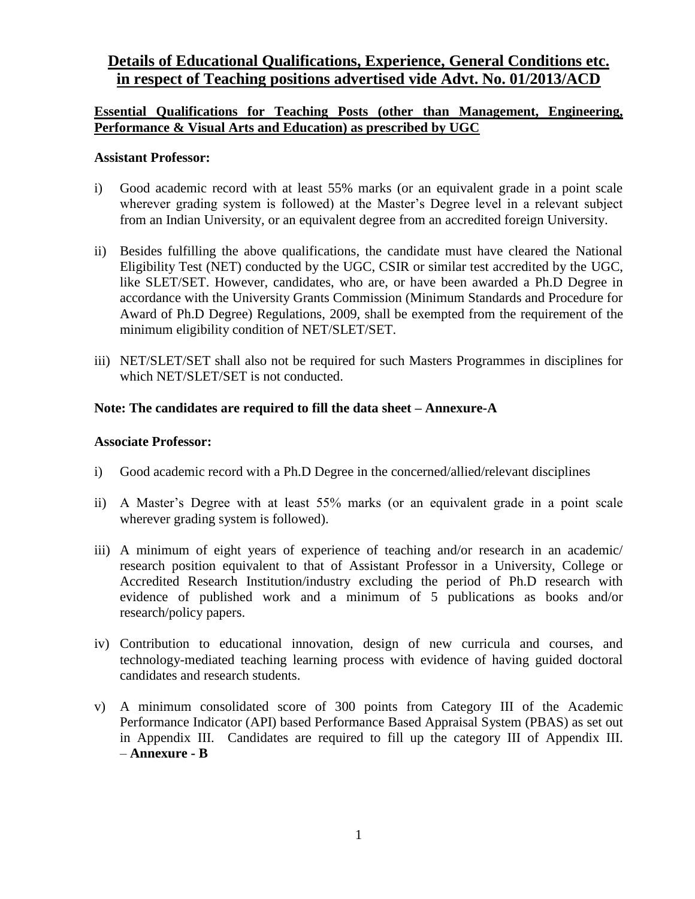# **Details of Educational Qualifications, Experience, General Conditions etc. in respect of Teaching positions advertised vide Advt. No. 01/2013/ACD**

## **Essential Qualifications for Teaching Posts (other than Management, Engineering, Performance & Visual Arts and Education) as prescribed by UGC**

## **Assistant Professor:**

- i) Good academic record with at least 55% marks (or an equivalent grade in a point scale wherever grading system is followed) at the Master's Degree level in a relevant subject from an Indian University, or an equivalent degree from an accredited foreign University.
- ii) Besides fulfilling the above qualifications, the candidate must have cleared the National Eligibility Test (NET) conducted by the UGC, CSIR or similar test accredited by the UGC, like SLET/SET. However, candidates, who are, or have been awarded a Ph.D Degree in accordance with the University Grants Commission (Minimum Standards and Procedure for Award of Ph.D Degree) Regulations, 2009, shall be exempted from the requirement of the minimum eligibility condition of NET/SLET/SET.
- iii) NET/SLET/SET shall also not be required for such Masters Programmes in disciplines for which NET/SLET/SET is not conducted.

## **Note: The candidates are required to fill the data sheet – Annexure-A**

## **Associate Professor:**

- i) Good academic record with a Ph.D Degree in the concerned/allied/relevant disciplines
- ii) A Master's Degree with at least 55% marks (or an equivalent grade in a point scale wherever grading system is followed).
- iii) A minimum of eight years of experience of teaching and/or research in an academic/ research position equivalent to that of Assistant Professor in a University, College or Accredited Research Institution/industry excluding the period of Ph.D research with evidence of published work and a minimum of 5 publications as books and/or research/policy papers.
- iv) Contribution to educational innovation, design of new curricula and courses, and technology-mediated teaching learning process with evidence of having guided doctoral candidates and research students.
- v) A minimum consolidated score of 300 points from Category III of the Academic Performance Indicator (API) based Performance Based Appraisal System (PBAS) as set out in Appendix III. Candidates are required to fill up the category III of Appendix III. – **Annexure - B**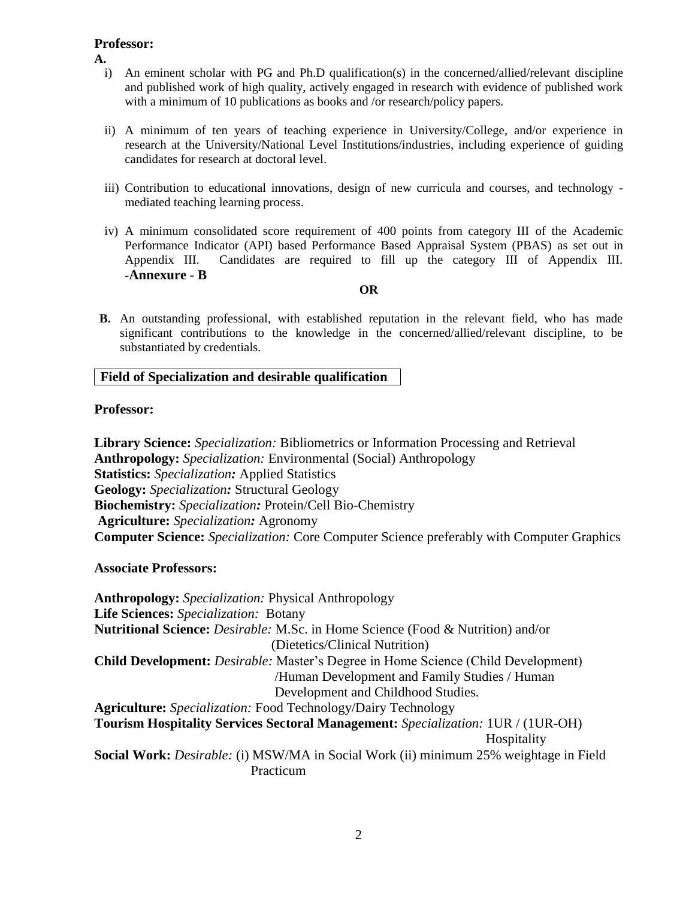## **Professor:**

**A.**

- i) An eminent scholar with PG and Ph.D qualification(s) in the concerned/allied/relevant discipline and published work of high quality, actively engaged in research with evidence of published work with a minimum of 10 publications as books and /or research/policy papers.
- ii) A minimum of ten years of teaching experience in University/College, and/or experience in research at the University/National Level Institutions/industries, including experience of guiding candidates for research at doctoral level.
- iii) Contribution to educational innovations, design of new curricula and courses, and technology mediated teaching learning process.
- iv) A minimum consolidated score requirement of 400 points from category III of the Academic Performance Indicator (API) based Performance Based Appraisal System (PBAS) as set out in Appendix III. Candidates are required to fill up the category III of Appendix III. -**Annexure - B**

#### **OR**

**B.** An outstanding professional, with established reputation in the relevant field, who has made significant contributions to the knowledge in the concerned/allied/relevant discipline, to be substantiated by credentials.

## **Field of Specialization and desirable qualification**

## **Professor:**

**Library Science:** *Specialization:* Bibliometrics or Information Processing and Retrieval **Anthropology:** *Specialization:* Environmental (Social) Anthropology **Statistics:** *Specialization:* Applied Statistics **Geology:** *Specialization:* Structural Geology **Biochemistry:** *Specialization:* Protein/Cell Bio-Chemistry **Agriculture:** *Specialization:* Agronomy **Computer Science:** *Specialization:* Core Computer Science preferably with Computer Graphics

**Associate Professors:**

**Anthropology:** *Specialization:* Physical Anthropology **Life Sciences:** *Specialization:* Botany **Nutritional Science:** *Desirable:* M.Sc. in Home Science (Food & Nutrition) and/or (Dietetics/Clinical Nutrition) **Child Development:** *Desirable:* Master's Degree in Home Science (Child Development) /Human Development and Family Studies / Human Development and Childhood Studies. **Agriculture:** *Specialization:* Food Technology/Dairy Technology **Tourism Hospitality Services Sectoral Management:** *Specialization:* 1UR / (1UR-OH) Hospitality **Social Work:** *Desirable:* (i) MSW/MA in Social Work (ii) minimum 25% weightage in Field Practicum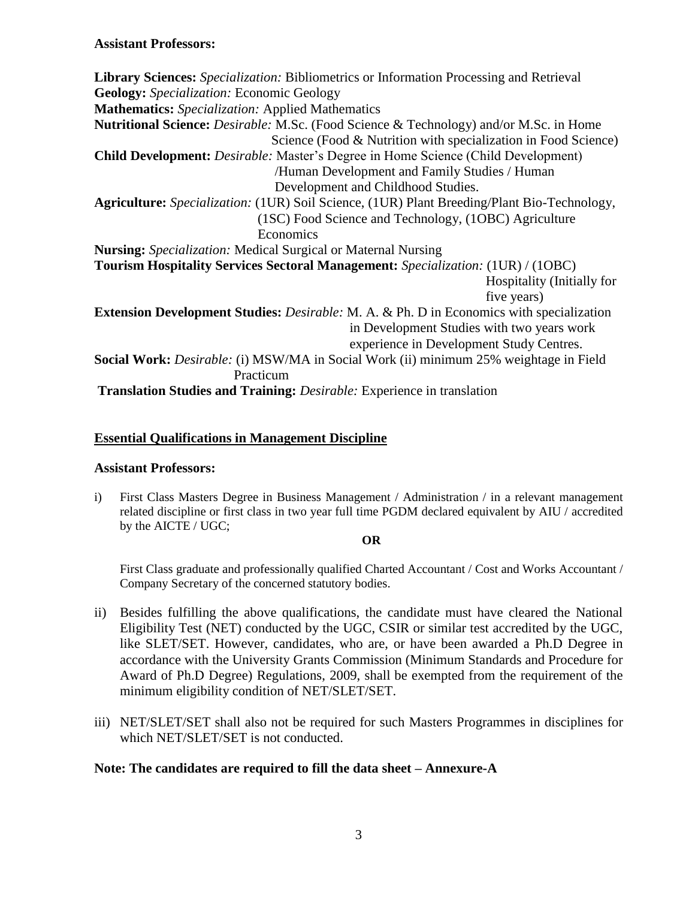**Library Sciences:** *Specialization:* Bibliometrics or Information Processing and Retrieval **Geology:** *Specialization:* Economic Geology **Mathematics:** *Specialization:* Applied Mathematics **Nutritional Science:** *Desirable:* M.Sc. (Food Science & Technology) and/or M.Sc. in Home Science (Food & Nutrition with specialization in Food Science) **Child Development:** *Desirable:* Master's Degree in Home Science (Child Development) /Human Development and Family Studies / Human Development and Childhood Studies. **Agriculture:** *Specialization:* (1UR) Soil Science, (1UR) Plant Breeding/Plant Bio-Technology, (1SC) Food Science and Technology, (1OBC) Agriculture **Economics Nursing:** *Specialization:* Medical Surgical or Maternal Nursing **Tourism Hospitality Services Sectoral Management:** *Specialization:* (1UR) / (1OBC) Hospitality (Initially for five years) **Extension Development Studies:** *Desirable:* M. A. & Ph. D in Economics with specialization in Development Studies with two years work experience in Development Study Centres. **Social Work:** *Desirable:* (i) MSW/MA in Social Work (ii) minimum 25% weightage in Field Practicum **Translation Studies and Training:** *Desirable:* Experience in translation

## **Essential Qualifications in Management Discipline**

## **Assistant Professors:**

i) First Class Masters Degree in Business Management / Administration / in a relevant management related discipline or first class in two year full time PGDM declared equivalent by AIU / accredited by the AICTE / UGC;

## **OR**

First Class graduate and professionally qualified Charted Accountant / Cost and Works Accountant / Company Secretary of the concerned statutory bodies.

- ii) Besides fulfilling the above qualifications, the candidate must have cleared the National Eligibility Test (NET) conducted by the UGC, CSIR or similar test accredited by the UGC, like SLET/SET. However, candidates, who are, or have been awarded a Ph.D Degree in accordance with the University Grants Commission (Minimum Standards and Procedure for Award of Ph.D Degree) Regulations, 2009, shall be exempted from the requirement of the minimum eligibility condition of NET/SLET/SET.
- iii) NET/SLET/SET shall also not be required for such Masters Programmes in disciplines for which NET/SLET/SET is not conducted.

## **Note: The candidates are required to fill the data sheet – Annexure-A**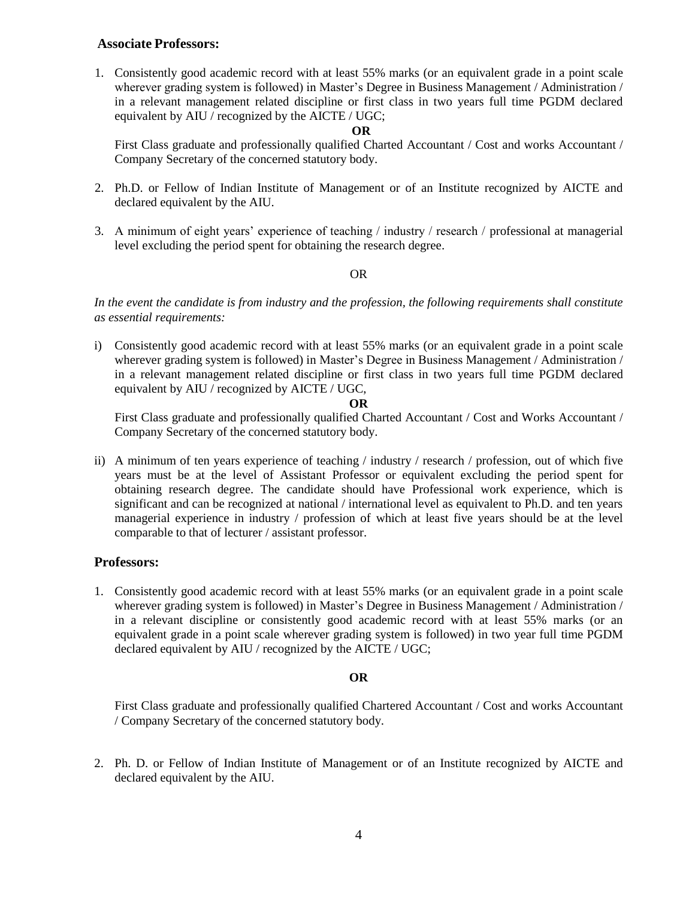### **Associate Professors:**

1. Consistently good academic record with at least 55% marks (or an equivalent grade in a point scale wherever grading system is followed) in Master's Degree in Business Management / Administration / in a relevant management related discipline or first class in two years full time PGDM declared equivalent by AIU / recognized by the AICTE / UGC;

#### **OR**

First Class graduate and professionally qualified Charted Accountant / Cost and works Accountant / Company Secretary of the concerned statutory body.

- 2. Ph.D. or Fellow of Indian Institute of Management or of an Institute recognized by AICTE and declared equivalent by the AIU.
- 3. A minimum of eight years' experience of teaching / industry / research / professional at managerial level excluding the period spent for obtaining the research degree.

### OR

*In the event the candidate is from industry and the profession, the following requirements shall constitute as essential requirements:*

i) Consistently good academic record with at least 55% marks (or an equivalent grade in a point scale wherever grading system is followed) in Master's Degree in Business Management / Administration / in a relevant management related discipline or first class in two years full time PGDM declared equivalent by AIU / recognized by AICTE / UGC,

#### **OR**

First Class graduate and professionally qualified Charted Accountant / Cost and Works Accountant / Company Secretary of the concerned statutory body.

ii) A minimum of ten years experience of teaching / industry / research / profession, out of which five years must be at the level of Assistant Professor or equivalent excluding the period spent for obtaining research degree. The candidate should have Professional work experience, which is significant and can be recognized at national / international level as equivalent to Ph.D. and ten years managerial experience in industry / profession of which at least five years should be at the level comparable to that of lecturer / assistant professor.

### **Professors:**

1. Consistently good academic record with at least 55% marks (or an equivalent grade in a point scale wherever grading system is followed) in Master's Degree in Business Management / Administration / in a relevant discipline or consistently good academic record with at least 55% marks (or an equivalent grade in a point scale wherever grading system is followed) in two year full time PGDM declared equivalent by AIU / recognized by the AICTE / UGC;

### **OR**

First Class graduate and professionally qualified Chartered Accountant / Cost and works Accountant / Company Secretary of the concerned statutory body.

2. Ph. D. or Fellow of Indian Institute of Management or of an Institute recognized by AICTE and declared equivalent by the AIU.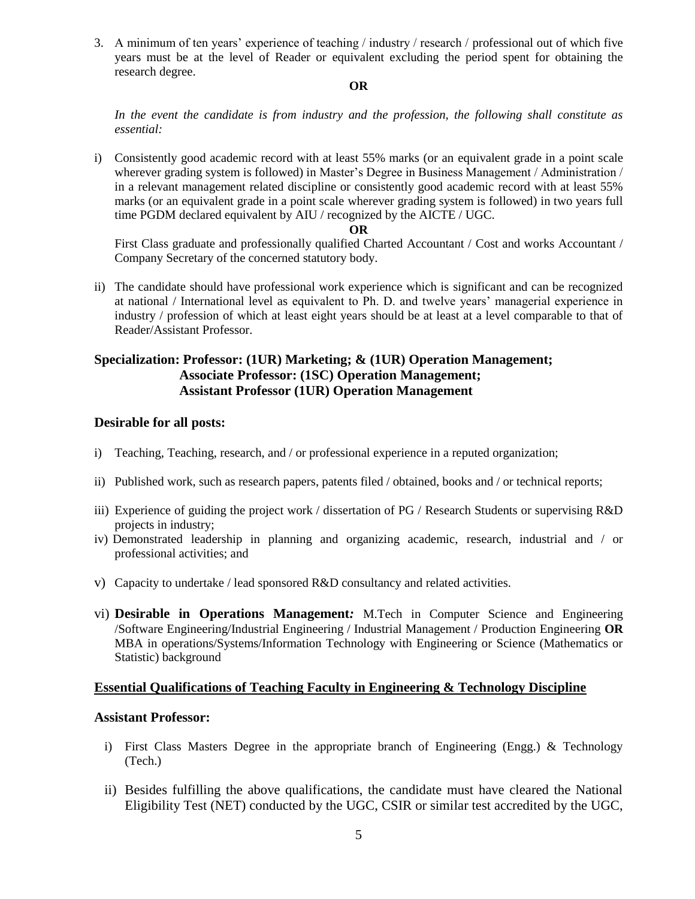3. A minimum of ten years' experience of teaching / industry / research / professional out of which five years must be at the level of Reader or equivalent excluding the period spent for obtaining the research degree.

#### **OR**

*In the event the candidate is from industry and the profession, the following shall constitute as essential:*

i) Consistently good academic record with at least 55% marks (or an equivalent grade in a point scale wherever grading system is followed) in Master's Degree in Business Management / Administration / in a relevant management related discipline or consistently good academic record with at least 55% marks (or an equivalent grade in a point scale wherever grading system is followed) in two years full time PGDM declared equivalent by AIU / recognized by the AICTE / UGC.

#### **OR**

First Class graduate and professionally qualified Charted Accountant / Cost and works Accountant / Company Secretary of the concerned statutory body.

ii) The candidate should have professional work experience which is significant and can be recognized at national / International level as equivalent to Ph. D. and twelve years' managerial experience in industry / profession of which at least eight years should be at least at a level comparable to that of Reader/Assistant Professor.

## **Specialization: Professor: (1UR) Marketing; & (1UR) Operation Management; Associate Professor: (1SC) Operation Management; Assistant Professor (1UR) Operation Management**

## **Desirable for all posts:**

- i) Teaching, Teaching, research, and / or professional experience in a reputed organization;
- ii) Published work, such as research papers, patents filed / obtained, books and / or technical reports;
- iii) Experience of guiding the project work / dissertation of PG / Research Students or supervising R&D projects in industry;
- iv) Demonstrated leadership in planning and organizing academic, research, industrial and / or professional activities; and
- v) Capacity to undertake / lead sponsored R&D consultancy and related activities.
- vi) **Desirable in Operations Management***:* M.Tech in Computer Science and Engineering /Software Engineering/Industrial Engineering / Industrial Management / Production Engineering **OR** MBA in operations/Systems/Information Technology with Engineering or Science (Mathematics or Statistic) background

## **Essential Qualifications of Teaching Faculty in Engineering & Technology Discipline**

### **Assistant Professor:**

- i) First Class Masters Degree in the appropriate branch of Engineering (Engg.) & Technology (Tech.)
- ii) Besides fulfilling the above qualifications, the candidate must have cleared the National Eligibility Test (NET) conducted by the UGC, CSIR or similar test accredited by the UGC,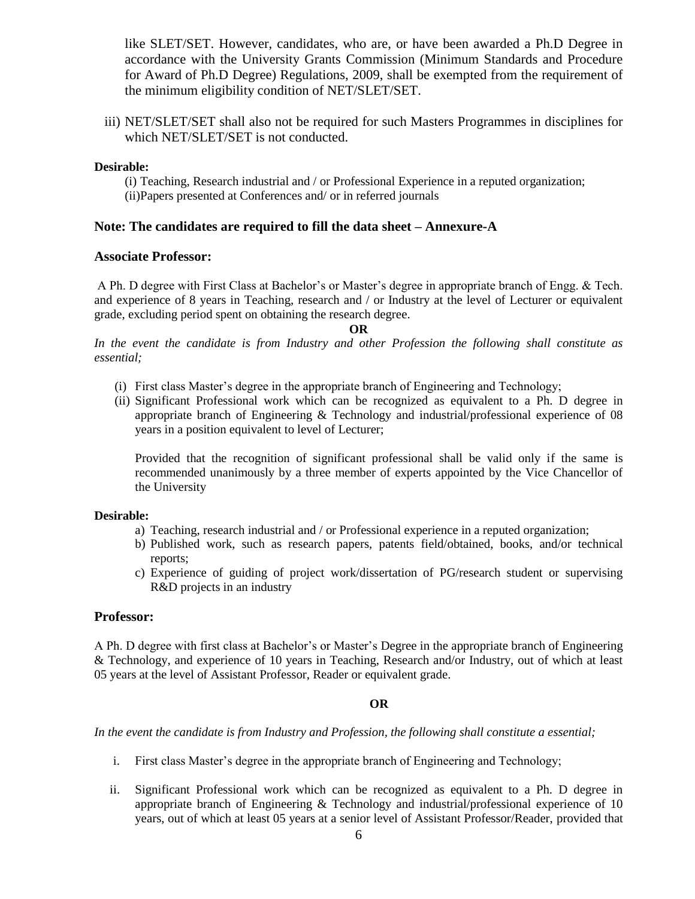like SLET/SET. However, candidates, who are, or have been awarded a Ph.D Degree in accordance with the University Grants Commission (Minimum Standards and Procedure for Award of Ph.D Degree) Regulations, 2009, shall be exempted from the requirement of the minimum eligibility condition of NET/SLET/SET.

iii) NET/SLET/SET shall also not be required for such Masters Programmes in disciplines for which NET/SLET/SET is not conducted.

#### **Desirable:**

(i) Teaching, Research industrial and / or Professional Experience in a reputed organization; (ii)Papers presented at Conferences and/ or in referred journals

### **Note: The candidates are required to fill the data sheet – Annexure-A**

#### **Associate Professor:**

A Ph. D degree with First Class at Bachelor's or Master's degree in appropriate branch of Engg. & Tech. and experience of 8 years in Teaching, research and / or Industry at the level of Lecturer or equivalent grade, excluding period spent on obtaining the research degree.

#### **OR**

*In the event the candidate is from Industry and other Profession the following shall constitute as essential;* 

- (i) First class Master's degree in the appropriate branch of Engineering and Technology;
- (ii) Significant Professional work which can be recognized as equivalent to a Ph. D degree in appropriate branch of Engineering & Technology and industrial/professional experience of 08 years in a position equivalent to level of Lecturer;

Provided that the recognition of significant professional shall be valid only if the same is recommended unanimously by a three member of experts appointed by the Vice Chancellor of the University

#### **Desirable:**

- a) Teaching, research industrial and / or Professional experience in a reputed organization;
- b) Published work, such as research papers, patents field/obtained, books, and/or technical reports;
- c) Experience of guiding of project work/dissertation of PG/research student or supervising R&D projects in an industry

### **Professor:**

A Ph. D degree with first class at Bachelor's or Master's Degree in the appropriate branch of Engineering & Technology, and experience of 10 years in Teaching, Research and/or Industry, out of which at least 05 years at the level of Assistant Professor, Reader or equivalent grade.

### **OR**

*In the event the candidate is from Industry and Profession, the following shall constitute a essential;*

- i. First class Master's degree in the appropriate branch of Engineering and Technology;
- ii. Significant Professional work which can be recognized as equivalent to a Ph. D degree in appropriate branch of Engineering & Technology and industrial/professional experience of 10 years, out of which at least 05 years at a senior level of Assistant Professor/Reader, provided that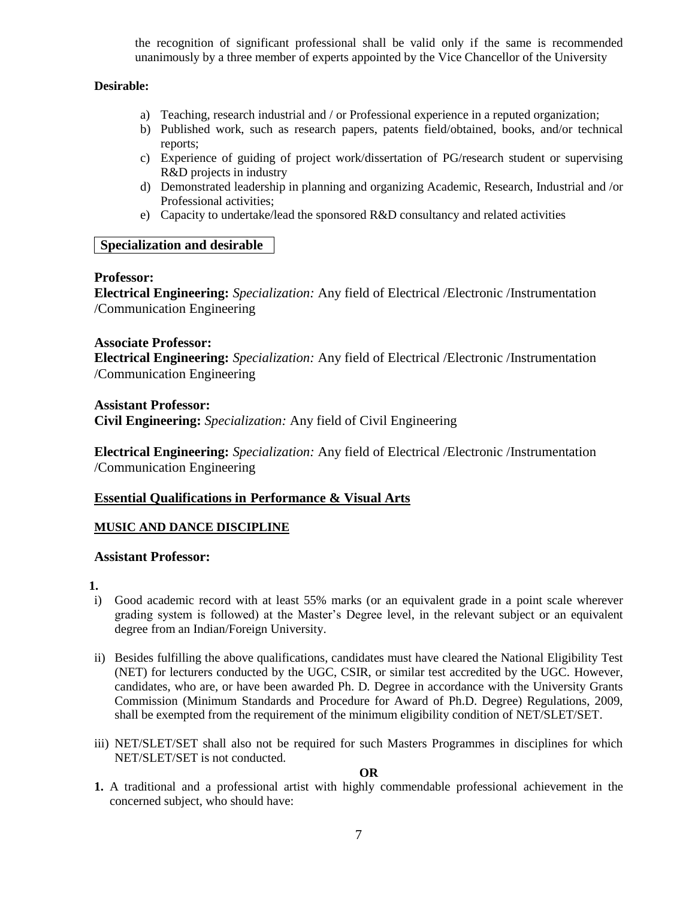the recognition of significant professional shall be valid only if the same is recommended unanimously by a three member of experts appointed by the Vice Chancellor of the University

### **Desirable:**

- a) Teaching, research industrial and / or Professional experience in a reputed organization;
- b) Published work, such as research papers, patents field/obtained, books, and/or technical reports;
- c) Experience of guiding of project work/dissertation of PG/research student or supervising R&D projects in industry
- d) Demonstrated leadership in planning and organizing Academic, Research, Industrial and /or Professional activities;
- e) Capacity to undertake/lead the sponsored R&D consultancy and related activities

### **Specialization and desirable**

#### **Professor:**

**Electrical Engineering:** *Specialization:* Any field of Electrical /Electronic /Instrumentation /Communication Engineering

#### **Associate Professor:**

**Electrical Engineering:** *Specialization:* Any field of Electrical /Electronic /Instrumentation /Communication Engineering

**Assistant Professor: Civil Engineering:** *Specialization:* Any field of Civil Engineering

**Electrical Engineering:** *Specialization:* Any field of Electrical /Electronic /Instrumentation /Communication Engineering

### **Essential Qualifications in Performance & Visual Arts**

### **MUSIC AND DANCE DISCIPLINE**

### **Assistant Professor:**

#### **1.**

- i) Good academic record with at least 55% marks (or an equivalent grade in a point scale wherever grading system is followed) at the Master's Degree level, in the relevant subject or an equivalent degree from an Indian/Foreign University.
- ii) Besides fulfilling the above qualifications, candidates must have cleared the National Eligibility Test (NET) for lecturers conducted by the UGC, CSIR, or similar test accredited by the UGC. However, candidates, who are, or have been awarded Ph. D*.* Degree in accordance with the University Grants Commission (Minimum Standards and Procedure for Award of Ph.D. Degree) Regulations, 2009, shall be exempted from the requirement of the minimum eligibility condition of NET/SLET/SET.
- iii) NET/SLET/SET shall also not be required for such Masters Programmes in disciplines for which NET/SLET/SET is not conducted.

#### **OR**

**1.** A traditional and a professional artist with highly commendable professional achievement in the concerned subject, who should have: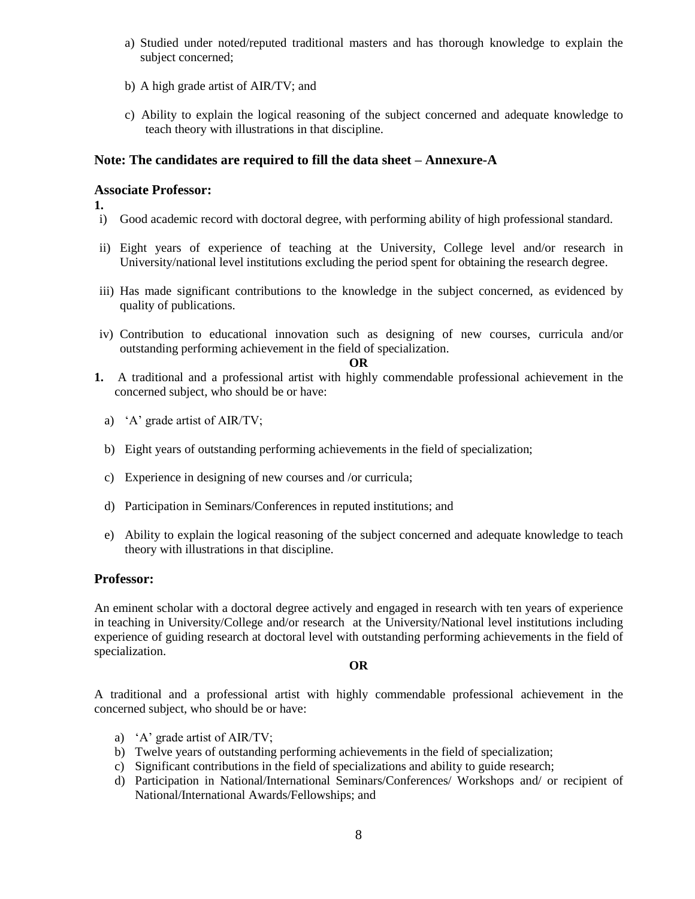- a) Studied under noted/reputed traditional masters and has thorough knowledge to explain the subject concerned;
- b) A high grade artist of AIR/TV; and
- c) Ability to explain the logical reasoning of the subject concerned and adequate knowledge to teach theory with illustrations in that discipline.

## **Note: The candidates are required to fill the data sheet – Annexure-A**

## **Associate Professor:**

**1.**

- i) Good academic record with doctoral degree, with performing ability of high professional standard.
- ii) Eight years of experience of teaching at the University, College level and/or research in University/national level institutions excluding the period spent for obtaining the research degree.
- iii) Has made significant contributions to the knowledge in the subject concerned, as evidenced by quality of publications.
- iv) Contribution to educational innovation such as designing of new courses, curricula and/or outstanding performing achievement in the field of specialization.

#### **OR**

- **1.** A traditional and a professional artist with highly commendable professional achievement in the concerned subject, who should be or have:
	- a) 'A' grade artist of AIR/TV;
	- b) Eight years of outstanding performing achievements in the field of specialization;
	- c) Experience in designing of new courses and /or curricula;
	- d) Participation in Seminars/Conferences in reputed institutions; and
	- e) Ability to explain the logical reasoning of the subject concerned and adequate knowledge to teach theory with illustrations in that discipline.

### **Professor:**

An eminent scholar with a doctoral degree actively and engaged in research with ten years of experience in teaching in University/College and/or research at the University/National level institutions including experience of guiding research at doctoral level with outstanding performing achievements in the field of specialization.

#### **OR**

A traditional and a professional artist with highly commendable professional achievement in the concerned subject, who should be or have:

- a) 'A' grade artist of AIR/TV;
- b) Twelve years of outstanding performing achievements in the field of specialization;
- c) Significant contributions in the field of specializations and ability to guide research;
- d) Participation in National/International Seminars/Conferences/ Workshops and/ or recipient of National/International Awards/Fellowships; and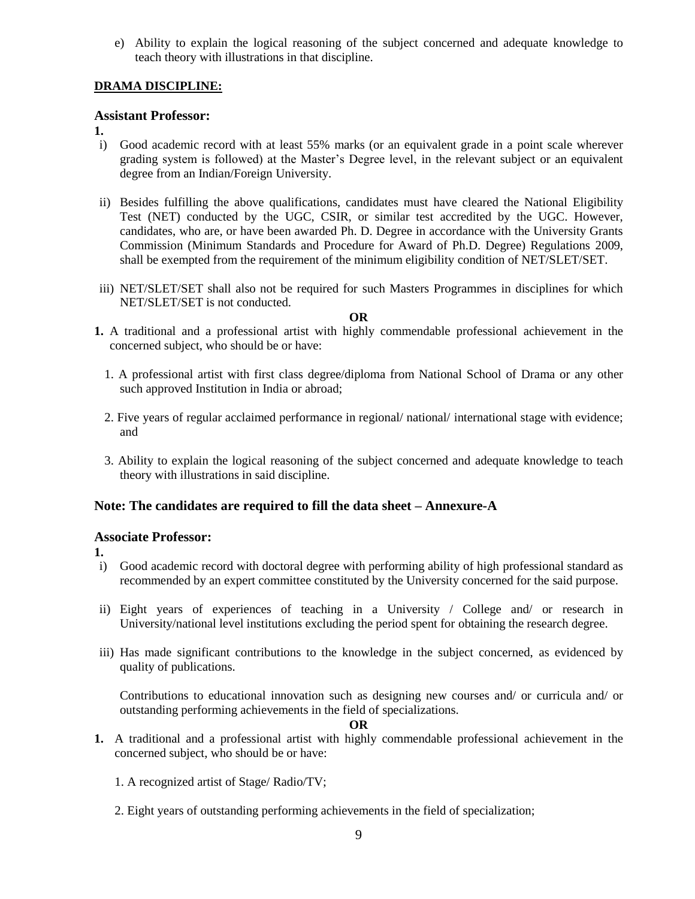e) Ability to explain the logical reasoning of the subject concerned and adequate knowledge to teach theory with illustrations in that discipline.

## **DRAMA DISCIPLINE:**

## **Assistant Professor:**

- **1.**
- i) Good academic record with at least 55% marks (or an equivalent grade in a point scale wherever grading system is followed) at the Master's Degree level, in the relevant subject or an equivalent degree from an Indian/Foreign University.
- ii) Besides fulfilling the above qualifications, candidates must have cleared the National Eligibility Test (NET) conducted by the UGC, CSIR, or similar test accredited by the UGC. However, candidates, who are, or have been awarded Ph. D. Degree in accordance with the University Grants Commission (Minimum Standards and Procedure for Award of Ph.D. Degree) Regulations 2009, shall be exempted from the requirement of the minimum eligibility condition of NET/SLET/SET.
- iii) NET/SLET/SET shall also not be required for such Masters Programmes in disciplines for which NET/SLET/SET is not conducted.

#### **OR**

- **1.** A traditional and a professional artist with highly commendable professional achievement in the concerned subject, who should be or have:
	- 1. A professional artist with first class degree/diploma from National School of Drama or any other such approved Institution in India or abroad;
	- 2. Five years of regular acclaimed performance in regional/ national/ international stage with evidence; and
	- 3. Ability to explain the logical reasoning of the subject concerned and adequate knowledge to teach theory with illustrations in said discipline.

## **Note: The candidates are required to fill the data sheet – Annexure-A**

### **Associate Professor:**

**1.**

- i) Good academic record with doctoral degree with performing ability of high professional standard as recommended by an expert committee constituted by the University concerned for the said purpose.
- ii) Eight years of experiences of teaching in a University / College and/ or research in University/national level institutions excluding the period spent for obtaining the research degree.
- iii) Has made significant contributions to the knowledge in the subject concerned, as evidenced by quality of publications.

Contributions to educational innovation such as designing new courses and/ or curricula and/ or outstanding performing achievements in the field of specializations.

**OR**

- **1.** A traditional and a professional artist with highly commendable professional achievement in the concerned subject, who should be or have:
	- 1. A recognized artist of Stage/ Radio/TV;
	- 2. Eight years of outstanding performing achievements in the field of specialization;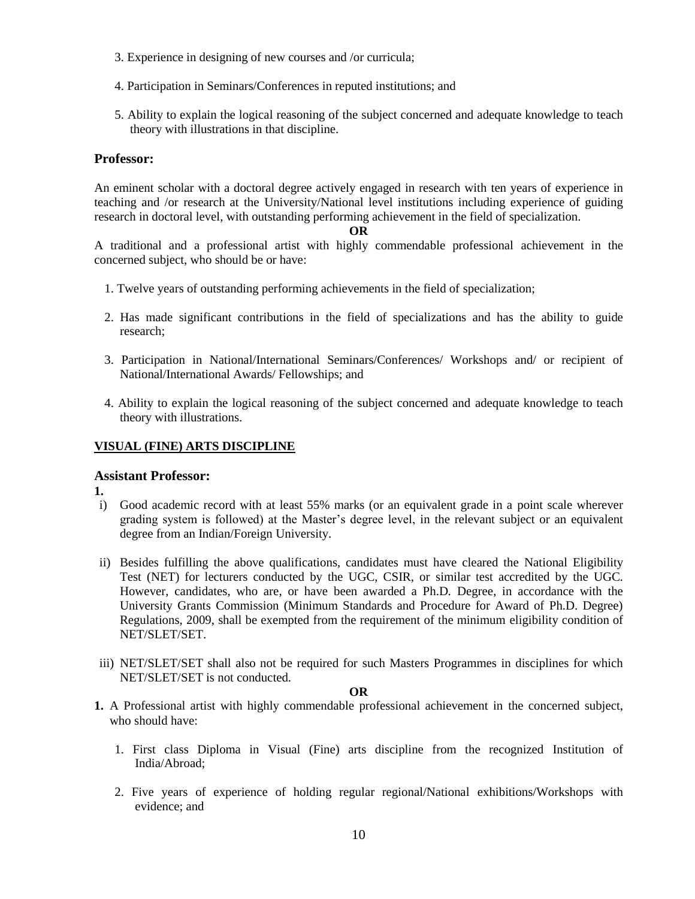- 3. Experience in designing of new courses and /or curricula;
- 4. Participation in Seminars/Conferences in reputed institutions; and
- 5. Ability to explain the logical reasoning of the subject concerned and adequate knowledge to teach theory with illustrations in that discipline.

#### **Professor:**

An eminent scholar with a doctoral degree actively engaged in research with ten years of experience in teaching and /or research at the University/National level institutions including experience of guiding research in doctoral level, with outstanding performing achievement in the field of specialization.

#### **OR**

A traditional and a professional artist with highly commendable professional achievement in the concerned subject, who should be or have:

- 1. Twelve years of outstanding performing achievements in the field of specialization;
- 2. Has made significant contributions in the field of specializations and has the ability to guide research;
- 3. Participation in National/International Seminars/Conferences/ Workshops and/ or recipient of National/International Awards/ Fellowships; and
- 4. Ability to explain the logical reasoning of the subject concerned and adequate knowledge to teach theory with illustrations.

### **VISUAL (FINE) ARTS DISCIPLINE**

#### **Assistant Professor:**

**1.**

- i) Good academic record with at least 55% marks (or an equivalent grade in a point scale wherever grading system is followed) at the Master's degree level, in the relevant subject or an equivalent degree from an Indian/Foreign University.
- ii) Besides fulfilling the above qualifications, candidates must have cleared the National Eligibility Test (NET) for lecturers conducted by the UGC, CSIR, or similar test accredited by the UGC. However, candidates, who are, or have been awarded a Ph.D*.* Degree, in accordance with the University Grants Commission (Minimum Standards and Procedure for Award of Ph.D. Degree) Regulations, 2009, shall be exempted from the requirement of the minimum eligibility condition of NET/SLET/SET.
- iii) NET/SLET/SET shall also not be required for such Masters Programmes in disciplines for which NET/SLET/SET is not conducted.

#### **OR**

- **1.** A Professional artist with highly commendable professional achievement in the concerned subject, who should have:
	- 1. First class Diploma in Visual (Fine) arts discipline from the recognized Institution of India/Abroad;
	- 2. Five years of experience of holding regular regional/National exhibitions/Workshops with evidence; and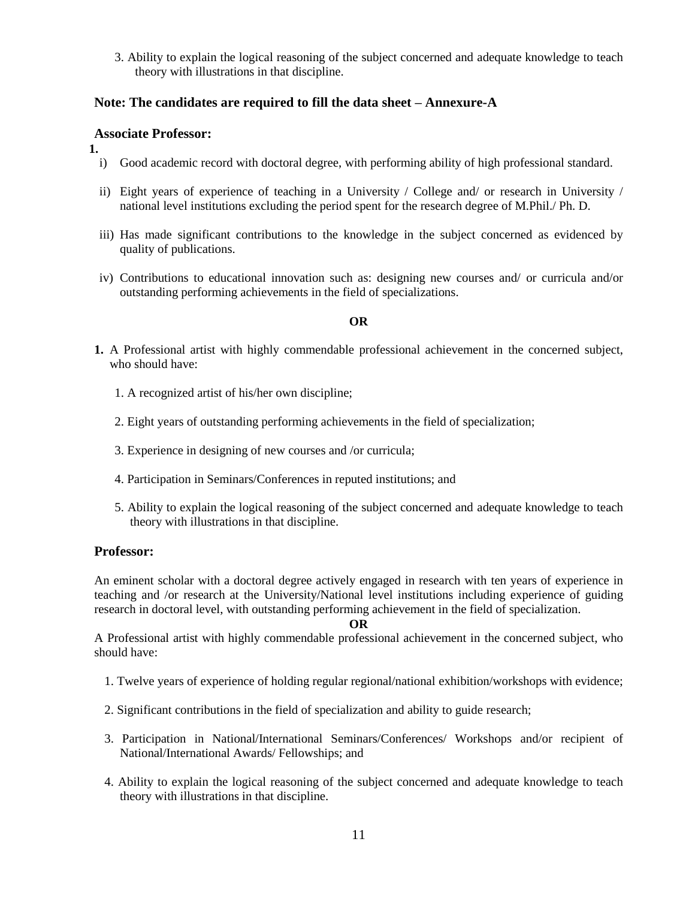3. Ability to explain the logical reasoning of the subject concerned and adequate knowledge to teach theory with illustrations in that discipline.

## **Note: The candidates are required to fill the data sheet – Annexure-A**

## **Associate Professor:**

**1.**

- i) Good academic record with doctoral degree, with performing ability of high professional standard.
- ii) Eight years of experience of teaching in a University / College and/ or research in University / national level institutions excluding the period spent for the research degree of M.Phil./ Ph. D.
- iii) Has made significant contributions to the knowledge in the subject concerned as evidenced by quality of publications.
- iv) Contributions to educational innovation such as: designing new courses and/ or curricula and/or outstanding performing achievements in the field of specializations.

### **OR**

- **1.** A Professional artist with highly commendable professional achievement in the concerned subject, who should have:
	- 1. A recognized artist of his/her own discipline;
	- 2. Eight years of outstanding performing achievements in the field of specialization;
	- 3. Experience in designing of new courses and /or curricula;
	- 4. Participation in Seminars/Conferences in reputed institutions; and
	- 5. Ability to explain the logical reasoning of the subject concerned and adequate knowledge to teach theory with illustrations in that discipline.

### **Professor:**

An eminent scholar with a doctoral degree actively engaged in research with ten years of experience in teaching and /or research at the University/National level institutions including experience of guiding research in doctoral level, with outstanding performing achievement in the field of specialization.

#### **OR**

A Professional artist with highly commendable professional achievement in the concerned subject, who should have:

- 1. Twelve years of experience of holding regular regional/national exhibition/workshops with evidence;
- 2. Significant contributions in the field of specialization and ability to guide research;
- 3. Participation in National/International Seminars/Conferences/ Workshops and/or recipient of National/International Awards/ Fellowships; and
- 4. Ability to explain the logical reasoning of the subject concerned and adequate knowledge to teach theory with illustrations in that discipline.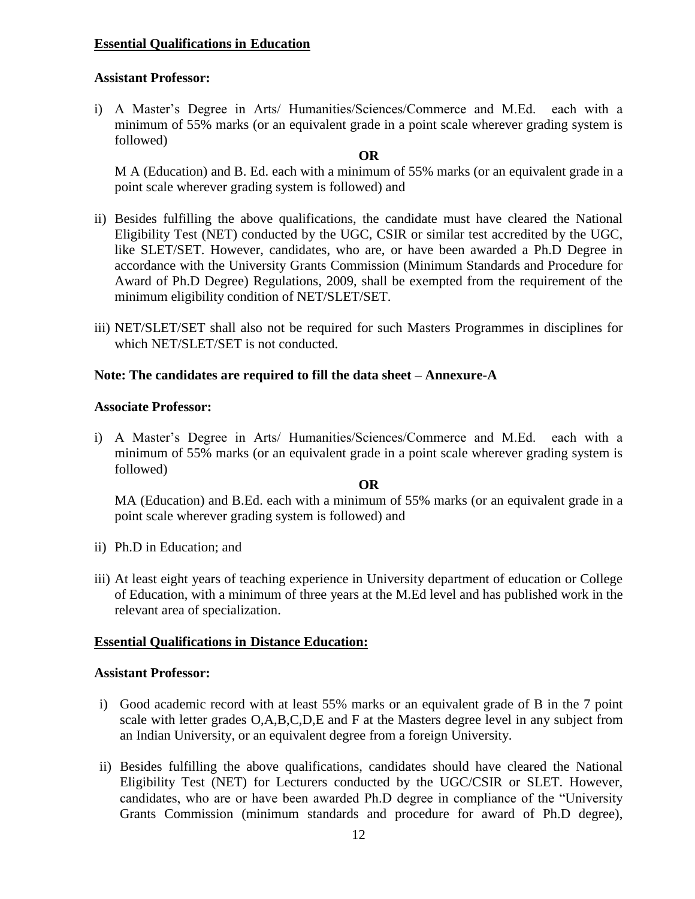## **Essential Qualifications in Education**

## **Assistant Professor:**

i) A Master's Degree in Arts/ Humanities/Sciences/Commerce and M.Ed. each with a minimum of 55% marks (or an equivalent grade in a point scale wherever grading system is followed)

## **OR**

M A (Education) and B. Ed. each with a minimum of 55% marks (or an equivalent grade in a point scale wherever grading system is followed) and

- ii) Besides fulfilling the above qualifications, the candidate must have cleared the National Eligibility Test (NET) conducted by the UGC, CSIR or similar test accredited by the UGC, like SLET/SET. However, candidates, who are, or have been awarded a Ph.D Degree in accordance with the University Grants Commission (Minimum Standards and Procedure for Award of Ph.D Degree) Regulations, 2009, shall be exempted from the requirement of the minimum eligibility condition of NET/SLET/SET.
- iii) NET/SLET/SET shall also not be required for such Masters Programmes in disciplines for which NET/SLET/SET is not conducted.

## **Note: The candidates are required to fill the data sheet – Annexure-A**

## **Associate Professor:**

i) A Master's Degree in Arts/ Humanities/Sciences/Commerce and M.Ed. each with a minimum of 55% marks (or an equivalent grade in a point scale wherever grading system is followed)

### **OR**

MA (Education) and B.Ed. each with a minimum of 55% marks (or an equivalent grade in a point scale wherever grading system is followed) and

- ii) Ph.D in Education; and
- iii) At least eight years of teaching experience in University department of education or College of Education, with a minimum of three years at the M.Ed level and has published work in the relevant area of specialization.

## **Essential Qualifications in Distance Education:**

## **Assistant Professor:**

- i) Good academic record with at least 55% marks or an equivalent grade of B in the 7 point scale with letter grades O,A,B,C,D,E and F at the Masters degree level in any subject from an Indian University, or an equivalent degree from a foreign University.
- ii) Besides fulfilling the above qualifications, candidates should have cleared the National Eligibility Test (NET) for Lecturers conducted by the UGC/CSIR or SLET. However, candidates, who are or have been awarded Ph.D degree in compliance of the "University Grants Commission (minimum standards and procedure for award of Ph.D degree),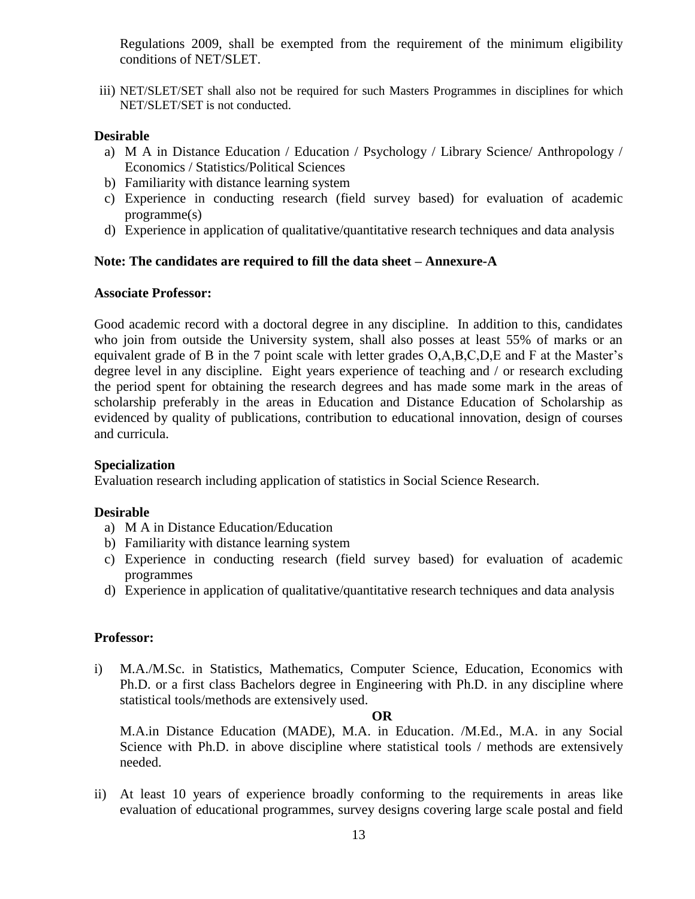Regulations 2009, shall be exempted from the requirement of the minimum eligibility conditions of NET/SLET.

iii) NET/SLET/SET shall also not be required for such Masters Programmes in disciplines for which NET/SLET/SET is not conducted.

## **Desirable**

- a) M A in Distance Education / Education / Psychology / Library Science/ Anthropology / Economics / Statistics/Political Sciences
- b) Familiarity with distance learning system
- c) Experience in conducting research (field survey based) for evaluation of academic programme(s)
- d) Experience in application of qualitative/quantitative research techniques and data analysis

## **Note: The candidates are required to fill the data sheet – Annexure-A**

### **Associate Professor:**

Good academic record with a doctoral degree in any discipline. In addition to this, candidates who join from outside the University system, shall also posses at least 55% of marks or an equivalent grade of B in the 7 point scale with letter grades O,A,B,C,D,E and F at the Master's degree level in any discipline. Eight years experience of teaching and / or research excluding the period spent for obtaining the research degrees and has made some mark in the areas of scholarship preferably in the areas in Education and Distance Education of Scholarship as evidenced by quality of publications, contribution to educational innovation, design of courses and curricula.

## **Specialization**

Evaluation research including application of statistics in Social Science Research.

## **Desirable**

- a) M A in Distance Education/Education
- b) Familiarity with distance learning system
- c) Experience in conducting research (field survey based) for evaluation of academic programmes
- d) Experience in application of qualitative/quantitative research techniques and data analysis

## **Professor:**

i) M.A./M.Sc. in Statistics, Mathematics, Computer Science, Education, Economics with Ph.D. or a first class Bachelors degree in Engineering with Ph.D. in any discipline where statistical tools/methods are extensively used.

### **OR**

M.A.in Distance Education (MADE), M.A. in Education. /M.Ed., M.A. in any Social Science with Ph.D. in above discipline where statistical tools / methods are extensively needed.

ii) At least 10 years of experience broadly conforming to the requirements in areas like evaluation of educational programmes, survey designs covering large scale postal and field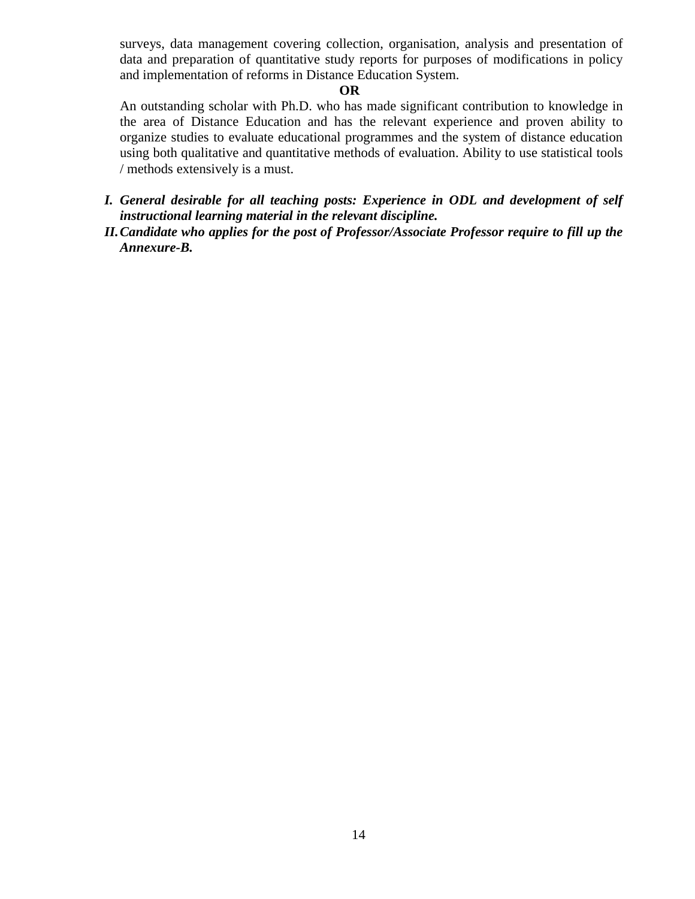surveys, data management covering collection, organisation, analysis and presentation of data and preparation of quantitative study reports for purposes of modifications in policy and implementation of reforms in Distance Education System.

## **OR**

An outstanding scholar with Ph.D. who has made significant contribution to knowledge in the area of Distance Education and has the relevant experience and proven ability to organize studies to evaluate educational programmes and the system of distance education using both qualitative and quantitative methods of evaluation. Ability to use statistical tools / methods extensively is a must.

- *I. General desirable for all teaching posts: Experience in ODL and development of self instructional learning material in the relevant discipline.*
- *II.Candidate who applies for the post of Professor/Associate Professor require to fill up the Annexure-B.*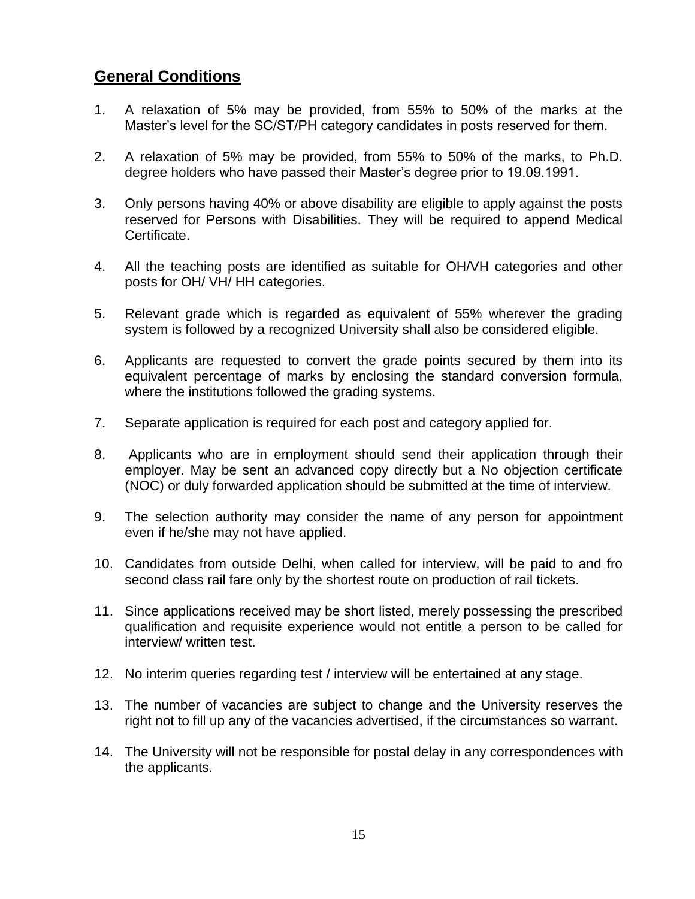# **General Conditions**

- 1. A relaxation of 5% may be provided, from 55% to 50% of the marks at the Master's level for the SC/ST/PH category candidates in posts reserved for them.
- 2. A relaxation of 5% may be provided, from 55% to 50% of the marks, to Ph.D. degree holders who have passed their Master's degree prior to 19.09.1991.
- 3. Only persons having 40% or above disability are eligible to apply against the posts reserved for Persons with Disabilities. They will be required to append Medical Certificate.
- 4. All the teaching posts are identified as suitable for OH/VH categories and other posts for OH/ VH/ HH categories.
- 5. Relevant grade which is regarded as equivalent of 55% wherever the grading system is followed by a recognized University shall also be considered eligible.
- 6. Applicants are requested to convert the grade points secured by them into its equivalent percentage of marks by enclosing the standard conversion formula, where the institutions followed the grading systems.
- 7. Separate application is required for each post and category applied for.
- 8. Applicants who are in employment should send their application through their employer. May be sent an advanced copy directly but a No objection certificate (NOC) or duly forwarded application should be submitted at the time of interview.
- 9. The selection authority may consider the name of any person for appointment even if he/she may not have applied.
- 10. Candidates from outside Delhi, when called for interview, will be paid to and fro second class rail fare only by the shortest route on production of rail tickets.
- 11. Since applications received may be short listed, merely possessing the prescribed qualification and requisite experience would not entitle a person to be called for interview/ written test.
- 12. No interim queries regarding test / interview will be entertained at any stage.
- 13. The number of vacancies are subject to change and the University reserves the right not to fill up any of the vacancies advertised, if the circumstances so warrant.
- 14. The University will not be responsible for postal delay in any correspondences with the applicants.